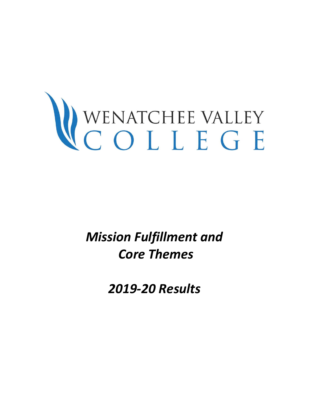# WENATCHEE VALLEY

*Mission Fulfillment and Core Themes* 

*2019-20 Results*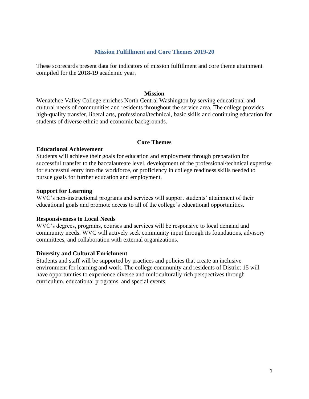### **Mission Fulfillment and Core Themes 2019-20**

These scorecards present data for indicators of mission fulfillment and core theme attainment compiled for the 2018-19 academic year.

### **Mission**

Wenatchee Valley College enriches North Central Washington by serving educational and cultural needs of communities and residents throughout the service area. The college provides high-quality transfer, liberal arts, professional/technical, basic skills and continuing education for students of diverse ethnic and economic backgrounds.

### **Core Themes**

### **Educational Achievement**

Students will achieve their goals for education and employment through preparation for successful transfer to the baccalaureate level, development of the professional/technical expertise for successful entry into the workforce, or proficiency in college readiness skills needed to pursue goals for further education and employment.

### **Support for Learning**

WVC's non-instructional programs and services will support students' attainment of their educational goals and promote access to all of the college's educational opportunities.

### **Responsiveness to Local Needs**

WVC's degrees, programs, courses and services will be responsive to local demand and community needs. WVC will actively seek community input through its foundations, advisory committees, and collaboration with external organizations.

### **Diversity and Cultural Enrichment**

Students and staff will be supported by practices and policies that create an inclusive environment for learning and work. The college community and residents of District 15 will have opportunities to experience diverse and multiculturally rich perspectives through curriculum, educational programs, and special events.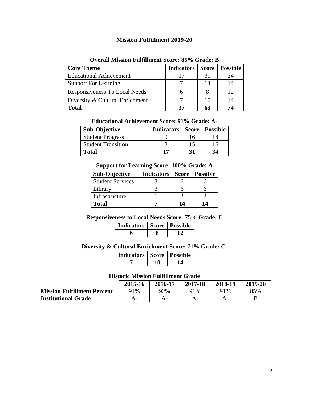# **Mission Fulfillment 2019-20**

| <b>Core Theme</b>               | <b>Indicators</b> | <b>Score</b> | <b>Possible</b> |
|---------------------------------|-------------------|--------------|-----------------|
| <b>Educational Achievement</b>  | 17                | 31           | 34              |
| <b>Support For Learning</b>     |                   | 14           | 14              |
| Responsiveness To Local Needs   |                   |              | 12              |
| Diversity & Cultural Enrichment |                   |              | 14              |
| <b>Total</b>                    | 37                |              | 74              |

### **Overall Mission Fulfillment Score: 85% Grade: B**

| <b>Educational Achievement Score: 91% Grade: A-</b> |  |  |  |  |
|-----------------------------------------------------|--|--|--|--|
|-----------------------------------------------------|--|--|--|--|

| <b>Sub-Objective</b>      | <b>Indicators   Score   Possible</b> |    |    |
|---------------------------|--------------------------------------|----|----|
| <b>Student Progress</b>   |                                      | 16 |    |
| <b>Student Transition</b> |                                      | 15 | 16 |
| Total                     | 17                                   | 31 | 34 |

### **Support for Learning Score: 100% Grade: A**

| Sub-Objective           | <b>Indicators</b> | <b>Score</b> | <b>Possible</b> |
|-------------------------|-------------------|--------------|-----------------|
| <b>Student Services</b> |                   |              |                 |
| Library                 |                   |              |                 |
| Infrastructure          |                   |              |                 |
| <b>Total</b>            |                   | 14           | 14              |

# **Responsiveness to Local Needs Score: 75% Grade: C**

| <b>Indicators   Score   Possible</b> |  |
|--------------------------------------|--|
|                                      |  |

# **Diversity & Cultural Enrichment Score: 71% Grade: C-**

| <b>Indicators   Score   Possible</b> |  |
|--------------------------------------|--|
|                                      |  |

### **Historic Mission Fulfillment Grade**

|                                    | 2015-16 | 2016-17 | 2017-18 | 2018-19 | 2019-20 |
|------------------------------------|---------|---------|---------|---------|---------|
| <b>Mission Fulfillment Percent</b> | 91%     | 92%     | 91%     | 91%     | 85%     |
| <b>Institutional Grade</b>         |         |         | A-      | A-      |         |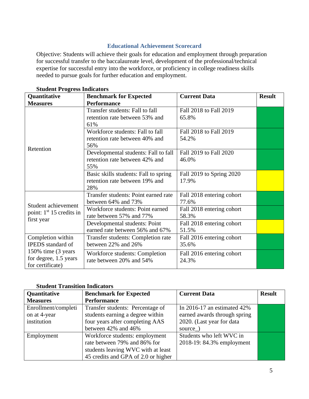# **Educational Achievement Scorecard**

Objective: Students will achieve their goals for education and employment through preparation for successful transfer to the baccalaureate level, development of the professional/technical expertise for successful entry into the workforce, or proficiency in college readiness skills needed to pursue goals for further education and employment.

| Quantitative                                                     | <b>Benchmark for Expected</b>                                                  | <b>Current Data</b>                | <b>Result</b> |
|------------------------------------------------------------------|--------------------------------------------------------------------------------|------------------------------------|---------------|
| <b>Measures</b>                                                  | <b>Performance</b>                                                             |                                    |               |
|                                                                  | Transfer students: Fall to fall<br>retention rate between 53% and<br>61%       | Fall 2018 to Fall 2019<br>65.8%    |               |
|                                                                  | Workforce students: Fall to fall<br>retention rate between 40% and<br>56%      | Fall 2018 to Fall 2019<br>54.2%    |               |
| Retention                                                        | Developmental students: Fall to fall<br>retention rate between 42% and<br>55%  | Fall 2019 to Fall 2020<br>46.0%    |               |
|                                                                  | Basic skills students: Fall to spring<br>retention rate between 19% and<br>28% | Fall 2019 to Spring 2020<br>17.9%  |               |
| Student achievement                                              | Transfer students: Point earned rate<br>between 64% and 73%                    | Fall 2018 entering cohort<br>77.6% |               |
| point: $1st 15$ credits in                                       | Workforce students: Point earned<br>rate between 57% and 77%                   | Fall 2018 entering cohort<br>58.3% |               |
| first year                                                       | Developmental students: Point<br>earned rate between 56% and 67%               | Fall 2018 entering cohort<br>51.5% |               |
| Completion within<br><b>IPEDS</b> standard of                    | Transfer students: Completion rate<br>between 22% and 26%                      | Fall 2016 entering cohort<br>35.6% |               |
| 150% time (3 years)<br>for degree, 1.5 years<br>for certificate) | Workforce students: Completion<br>rate between 20% and 54%                     | Fall 2016 entering cohort<br>24.3% |               |

# **Student Progress Indicators**

## **Student Transition Indicators**

| Quantitative        | <b>Benchmark for Expected</b>       | <b>Current Data</b>            | <b>Result</b> |
|---------------------|-------------------------------------|--------------------------------|---------------|
| <b>Measures</b>     | <b>Performance</b>                  |                                |               |
| Enrollment/completi | Transfer students: Percentage of    | In 2016-17 an estimated $42\%$ |               |
| on at 4-year        | students earning a degree within    | earned awards through spring   |               |
| institution         | four years after completing AAS     | 2020. (Last year for data      |               |
|                     | between 42% and 46%                 | source)                        |               |
| Employment          | Workforce students: employment      | Students who left WVC in       |               |
|                     | rate between 79% and 86% for        | 2018-19: 84.3% employment      |               |
|                     | students leaving WVC with at least  |                                |               |
|                     | 45 credits and GPA of 2.0 or higher |                                |               |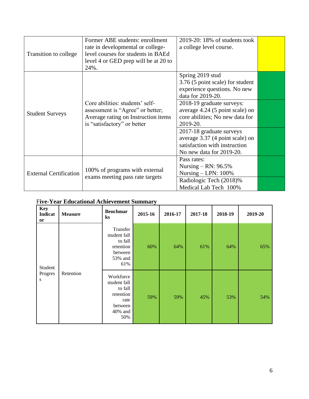| Transition to college         | Former ABE students: enrollment<br>rate in developmental or college-<br>level courses for students in BAEd<br>level 4 or GED prep will be at 20 to<br>24%. | $2019-20:18\%$ of students took<br>a college level course.                                                               |  |
|-------------------------------|------------------------------------------------------------------------------------------------------------------------------------------------------------|--------------------------------------------------------------------------------------------------------------------------|--|
|                               |                                                                                                                                                            | Spring 2019 stud<br>3.76 (5 point scale) for student<br>experience questions. No new<br>data for 2019-20.                |  |
| <b>Student Surveys</b>        | Core abilities: students' self-<br>assessment is "Agree" or better;<br>Average rating on Instruction items<br>is "satisfactory" or better                  | 2018-19 graduate surveys:<br>average 4.24 (5 point scale) on<br>core abilities; No new data for<br>2019-20.              |  |
|                               |                                                                                                                                                            | 2017-18 graduate surveys<br>average 3.37 (4 point scale) on<br>satisfaction with instruction<br>No new data for 2019-20. |  |
| <b>External Certification</b> | 100% of programs with external                                                                                                                             | Pass rates:<br>Nursing – RN: $96.5\%$<br>Nursing $-$ LPN: 100%                                                           |  |
|                               | exams meeting pass rate targets                                                                                                                            | Radiologic Tech (2018)%<br>Medical Lab Tech 100%                                                                         |  |

|  | <b>Five-Year Educational Achievement Summary</b> |
|--|--------------------------------------------------|
|--|--------------------------------------------------|

| <b>Key</b><br>Indicat<br>or | <b>Measure</b> | <b>Benchmar</b><br>$\bf ks$                                                            | 2015-16 | 2016-17 | 2017-18 | 2018-19 | 2019-20 |
|-----------------------------|----------------|----------------------------------------------------------------------------------------|---------|---------|---------|---------|---------|
| Student                     |                | Transfer<br>student fall<br>to fall<br>retention<br>between<br>53% and<br>61%          | 60%     | 64%     | 61%     | 64%     | 65%     |
| Progres<br>S                | Retention      | Workforce<br>student fall<br>to fall<br>retention<br>rate<br>between<br>40% and<br>50% | 59%     | 59%     | 45%     | 53%     | 54%     |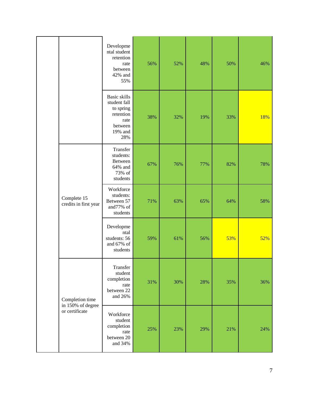|  |                                                        | Developme<br>ntal student<br>retention<br>rate<br>between<br>42% and<br>55%                 | 56% | 52% | 48% | 50% | 46% |
|--|--------------------------------------------------------|---------------------------------------------------------------------------------------------|-----|-----|-----|-----|-----|
|  |                                                        | Basic skills<br>student fall<br>to spring<br>retention<br>rate<br>between<br>19% and<br>28% | 38% | 32% | 19% | 33% | 18% |
|  |                                                        | Transfer<br>students:<br>Between<br>64% and<br>73% of<br>students                           | 67% | 76% | 77% | 82% | 78% |
|  | Complete 15<br>credits in first year                   | Workforce<br>students:<br>Between 57<br>and77% of<br>students                               | 71% | 63% | 65% | 64% | 58% |
|  |                                                        | Developme<br>ntal<br>students: 56<br>and 67% of<br>students                                 | 59% | 61% | 56% | 53% | 52% |
|  | Completion time<br>in 150% of degree<br>or certificate | Transfer<br>student<br>completion<br>rate<br>between 22<br>and 26%                          | 31% | 30% | 28% | 35% | 36% |
|  |                                                        | Workforce<br>student<br>completion<br>rate<br>between 20<br>and 34%                         | 25% | 23% | 29% | 21% | 24% |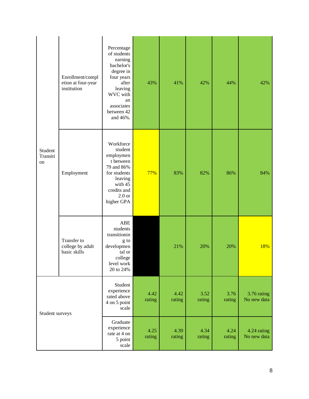| Student<br>Transiti<br>on | Enrollment/compl<br>etion at four-year<br>institution | Percentage<br>of students<br>earning<br>bachelor's<br>degree in<br>four years<br>after<br>leaving<br>WVC with<br>an<br>associates<br>between 42<br>and 46%. | 43%            | 41%            | 42%            | 44%            | 42%                        |
|---------------------------|-------------------------------------------------------|-------------------------------------------------------------------------------------------------------------------------------------------------------------|----------------|----------------|----------------|----------------|----------------------------|
|                           | Employment                                            | Workforce<br>student<br>employmen<br>t between<br>79 and 86%<br>for students<br>leaving<br>with 45<br>credits and<br>2.0 <sub>or</sub><br>higher GPA        | 77%            | 83%            | 82%            | 86%            | 84%                        |
|                           | Transfer to<br>college by adult<br>basic skills       | <b>ABE</b><br>students<br>transitionin<br>g to<br>developmen<br>tal or<br>college<br>level work<br>20 to 24%                                                |                | 21%            | 20%            | 20%            | 18%                        |
| Student surveys           |                                                       | Student<br>experience<br>rated above<br>4 on 5 point<br>scale                                                                                               | 4.42<br>rating | 4.42<br>rating | 3.52<br>rating | 3.76<br>rating | 3.76 rating<br>No new data |
|                           |                                                       | Graduate<br>experience<br>rate at 4 on<br>5 point<br>scale                                                                                                  | 4.25<br>rating | 4.39<br>rating | 4.34<br>rating | 4.24<br>rating | 4.24 rating<br>No new data |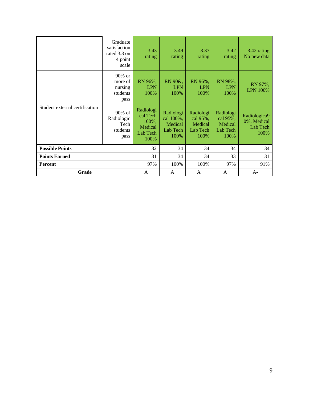|                                | Graduate<br>satisfaction<br>rated 3.3 on<br>4 point<br>scale | 3.43<br>rating                                                | 3.49<br>rating                                        | 3.37<br>rating                                       | 3.42<br>rating                                       | 3.42 rating<br>No new data                      |
|--------------------------------|--------------------------------------------------------------|---------------------------------------------------------------|-------------------------------------------------------|------------------------------------------------------|------------------------------------------------------|-------------------------------------------------|
|                                | $90\%$ or<br>more of<br>nursing<br>students<br>pass          | RN 96%,<br><b>LPN</b><br>100%                                 | RN 90&,<br><b>LPN</b><br>100%                         | RN 96%,<br><b>LPN</b><br>100%                        | RN 98%,<br><b>LPN</b><br>100%                        | RN 97%,<br><b>LPN 100%</b>                      |
| Student external certification | 90% of<br>Radiologic<br>Tech<br>students<br>pass             | Radiologi<br>cal Tech<br>100%,<br>Medical<br>Lab Tech<br>100% | Radiologi<br>cal 100%,<br>Medical<br>Lab Tech<br>100% | Radiologi<br>cal 95%,<br>Medical<br>Lab Tech<br>100% | Radiologi<br>cal 95%,<br>Medical<br>Lab Tech<br>100% | Radiologica9<br>0%, Medical<br>Lab Tech<br>100% |
| <b>Possible Points</b>         |                                                              | 32                                                            | 34                                                    | 34                                                   | 34                                                   | 34                                              |
| <b>Points Earned</b>           |                                                              | 31                                                            | 34                                                    | 34                                                   | 33                                                   | 31                                              |
| <b>Percent</b>                 |                                                              | 97%                                                           | 100%                                                  | 100%                                                 | 97%                                                  | 91%                                             |
| Grade                          |                                                              | A                                                             | A                                                     | A                                                    | A                                                    | $A-$                                            |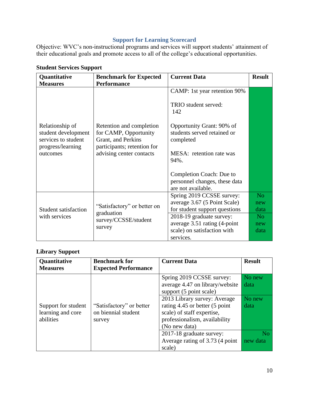# **Support for Learning Scorecard**

Objective: WVC's non-instructional programs and services will support students' attainment of their educational goals and promote access to all of the college's educational opportunities.

| Quantitative                                                                       | <b>Benchmark for Expected</b>                                                                          | <b>Current Data</b>                                                                        | <b>Result</b>                 |
|------------------------------------------------------------------------------------|--------------------------------------------------------------------------------------------------------|--------------------------------------------------------------------------------------------|-------------------------------|
| <b>Measures</b>                                                                    | <b>Performance</b>                                                                                     |                                                                                            |                               |
|                                                                                    |                                                                                                        | CAMP: 1st year retention 90%                                                               |                               |
|                                                                                    |                                                                                                        | TRIO student served:<br>142                                                                |                               |
| Relationship of<br>student development<br>services to student<br>progress/learning | Retention and completion<br>for CAMP, Opportunity<br>Grant, and Perkins<br>participants; retention for | Opportunity Grant: 90% of<br>students served retained or<br>completed                      |                               |
| outcomes                                                                           | advising center contacts                                                                               | MESA: retention rate was<br>94%.                                                           |                               |
|                                                                                    |                                                                                                        | Completion Coach: Due to<br>personnel changes, these data<br>are not available.            |                               |
| <b>Student satisfaction</b>                                                        | "Satisfactory" or better on                                                                            | Spring 2019 CCSSE survey:<br>average 3.67 (5 Point Scale)<br>for student support questions | N <sub>o</sub><br>new<br>data |
| with services                                                                      | graduation<br>survey/CCSSE/student                                                                     | 2018-19 graduate survey:                                                                   | N <sub>o</sub>                |
|                                                                                    | survey                                                                                                 | average 3.51 rating (4-point<br>scale) on satisfaction with                                | new<br>data                   |
|                                                                                    |                                                                                                        | services.                                                                                  |                               |

# **Student Services Support**

# **Library Support**

| Quantitative<br><b>Measures</b>                       | <b>Benchmark for</b><br><b>Expected Performance</b>       | <b>Current Data</b>                                                                                                                                                                                                                                                                                                | <b>Result</b>                                                  |
|-------------------------------------------------------|-----------------------------------------------------------|--------------------------------------------------------------------------------------------------------------------------------------------------------------------------------------------------------------------------------------------------------------------------------------------------------------------|----------------------------------------------------------------|
| Support for student<br>learning and core<br>abilities | "Satisfactory" or better<br>on biennial student<br>survey | Spring 2019 CCSSE survey:<br>average 4.47 on library/website<br>support (5 point scale)<br>2013 Library survey: Average<br>rating 4.45 or better (5 point<br>scale) of staff expertise,<br>professionalism, availability<br>(No new data)<br>2017-18 graduate survey:<br>Average rating of 3.73 (4 point<br>scale) | No new<br>data<br>No new<br>data<br>N <sub>o</sub><br>new data |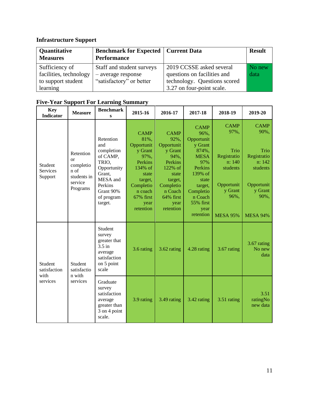# **Infrastructure Support**

| Quantitative<br><b>Measures</b> | <b>Benchmark for Expected   Current Data</b><br><b>Performance</b> |                              | <b>Result</b> |
|---------------------------------|--------------------------------------------------------------------|------------------------------|---------------|
| Sufficiency of                  | Staff and student surveys                                          | 2019 CCSSE asked several     | No new        |
| facilities, technology          | - average response                                                 | questions on facilities and  | data          |
| to support student              | "satisfactory" or better                                           | technology. Questions scored |               |
| learning                        |                                                                    | 3.27 on four-point scale.    |               |

| <b>Key</b><br><b>Indicator</b>        | <b>Measure</b>                                                                   | <b>Benchmark</b><br>S                                                                                                                     | 2015-16                                                                                                                                                  | 2016-17                                                                                                                                                  | 2017-18                                                                                                                                                                         | 2018-19                                                                                                              | 2019-20                                                                                                              |
|---------------------------------------|----------------------------------------------------------------------------------|-------------------------------------------------------------------------------------------------------------------------------------------|----------------------------------------------------------------------------------------------------------------------------------------------------------|----------------------------------------------------------------------------------------------------------------------------------------------------------|---------------------------------------------------------------------------------------------------------------------------------------------------------------------------------|----------------------------------------------------------------------------------------------------------------------|----------------------------------------------------------------------------------------------------------------------|
| <b>Student</b><br>Services<br>Support | Retention<br>$\alpha$<br>completio<br>n of<br>students in<br>service<br>Programs | Retention<br>and<br>completion<br>of CAMP,<br>TRIO,<br>Opportunity<br>Grant,<br>MESA and<br>Perkins<br>Grant 90%<br>of program<br>target. | <b>CAMP</b><br>81%,<br>Opportunit<br>y Grant<br>97%,<br>Perkins<br>134% of<br>state<br>target,<br>Completio<br>n coach<br>67% first<br>year<br>retention | <b>CAMP</b><br>92%,<br>Opportunit<br>y Grant<br>94%,<br>Perkins<br>122% of<br>state<br>target,<br>Completio<br>n Coach<br>64% first<br>year<br>retention | <b>CAMP</b><br>96%,<br>Opportunit<br>y Grant<br>874%,<br><b>MESA</b><br>97%<br>Perkins<br>139% of<br>state<br>target,<br>Completio<br>n Coach<br>55% first<br>year<br>retention | <b>CAMP</b><br>97%,<br>Trio<br>Registratio<br>n: 140<br>students<br>Opportunit<br>y Grant<br>96%,<br><b>MESA 95%</b> | <b>CAMP</b><br>90%,<br>Trio<br>Registratio<br>n: 142<br>students<br>Opportunit<br>y Grant<br>90%,<br><b>MESA 94%</b> |
| Student<br>satisfaction<br>with       | Student<br>satisfactio<br>n with                                                 | Student<br>survey<br>greater that<br>$3.5$ in<br>average<br>satisfaction<br>on 5 point<br>scale                                           | 3.6 rating                                                                                                                                               | 3.62 rating                                                                                                                                              | 4.28 rating                                                                                                                                                                     | 3.67 rating                                                                                                          | 3.67 rating<br>No new<br>data                                                                                        |
| services                              | services                                                                         | Graduate<br>survey<br>satisfaction<br>average<br>greater than<br>3 on 4 point<br>scale.                                                   | 3.9 rating                                                                                                                                               | 3.49 rating                                                                                                                                              | 3.42 rating                                                                                                                                                                     | 3.51 rating                                                                                                          | 3.51<br>ratingNo<br>new data                                                                                         |

# **Five-Year Support For Learning Summary**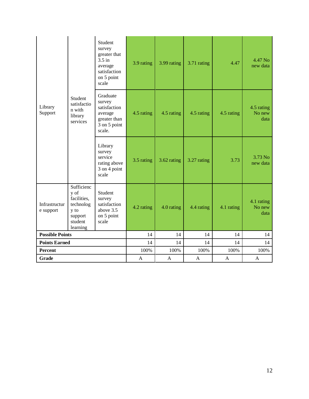| Library<br>Support         | Student<br>satisfactio<br>n with<br>library<br>services                                  | Student<br>survey<br>greater that<br>$3.5$ in<br>average<br>satisfaction<br>on 5 point<br>scale | 3.9 rating   | 3.99 rating  | 3.71 rating  | 4.47         | 4.47 No<br>new data          |
|----------------------------|------------------------------------------------------------------------------------------|-------------------------------------------------------------------------------------------------|--------------|--------------|--------------|--------------|------------------------------|
|                            |                                                                                          | Graduate<br>survey<br>satisfaction<br>average<br>greater than<br>3 on 5 point<br>scale.         | 4.5 rating   | 4.5 rating   | 4.5 rating   | 4.5 rating   | 4.5 rating<br>No new<br>data |
|                            |                                                                                          | Library<br>survey<br>service<br>rating above<br>3 on 4 point<br>scale                           | 3.5 rating   | 3.62 rating  | 3.27 rating  | 3.73         | 3.73 No<br>new data          |
| Infrastructur<br>e support | Sufficienc<br>y of<br>facilities,<br>technolog<br>y to<br>support<br>student<br>learning | Student<br>survey<br>satisfaction<br>above 3.5<br>on 5 point<br>scale                           | 4.2 rating   | 4.0 rating   | 4.4 rating   | 4.1 rating   | 4.1 rating<br>No new<br>data |
| <b>Possible Points</b>     |                                                                                          |                                                                                                 | 14           | 14           | 14           | 14           | 14                           |
| <b>Points Earned</b>       |                                                                                          | 14                                                                                              | 14           | 14           | 14           | 14           |                              |
| Percent                    |                                                                                          |                                                                                                 | 100%         | 100%         | 100%         | 100%         | 100%                         |
| Grade                      |                                                                                          |                                                                                                 | $\mathbf{A}$ | $\mathbf{A}$ | $\mathbf{A}$ | $\mathbf{A}$ | $\mathbf{A}$                 |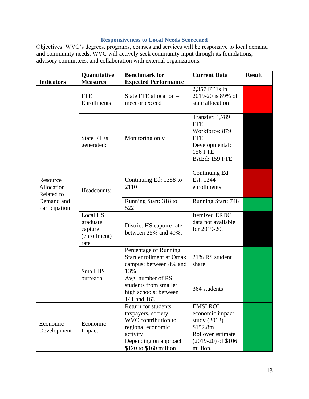# **Responsiveness to Local Needs Scorecard**

Objectives: WVC's degrees, programs, courses and services will be responsive to local demand and community needs. WVC will actively seek community input through its foundations, advisory committees, and collaboration with external organizations.

| <b>Indicators</b>                                                   | Quantitative<br><b>Measures</b>                                | <b>Benchmark for</b>                                                                                                                                  | <b>Current Data</b>                                                                                                       | <b>Result</b> |
|---------------------------------------------------------------------|----------------------------------------------------------------|-------------------------------------------------------------------------------------------------------------------------------------------------------|---------------------------------------------------------------------------------------------------------------------------|---------------|
|                                                                     | <b>FTE</b><br>Enrollments                                      | <b>Expected Performance</b><br>State FTE allocation -<br>meet or exceed                                                                               | 2,357 FTEs in<br>2019-20 is 89% of<br>state allocation                                                                    |               |
| Resource<br>Allocation<br>Related to<br>Demand and<br>Participation | <b>State FTEs</b><br>generated:                                | Monitoring only                                                                                                                                       | <b>Transfer: 1,789</b><br><b>FTE</b><br>Workforce: 879<br><b>FTE</b><br>Developmental:<br><b>156 FTE</b><br>BAEd: 159 FTE |               |
|                                                                     | Headcounts:                                                    | Continuing Ed: 1388 to<br>2110                                                                                                                        | Continuing Ed:<br>Est. 1244<br>enrollments                                                                                |               |
|                                                                     |                                                                | Running Start: 318 to<br>522                                                                                                                          | <b>Running Start: 748</b>                                                                                                 |               |
|                                                                     | <b>Local HS</b><br>graduate<br>capture<br>(enrollment)<br>rate | District HS capture fate<br>between 25% and 40%.                                                                                                      | <b>Itemized ERDC</b><br>data not available<br>for 2019-20.                                                                |               |
|                                                                     | Small HS                                                       | Percentage of Running<br>Start enrollment at Omak<br>campus: between 8% and<br>13%                                                                    | 21% RS student<br>share                                                                                                   |               |
|                                                                     | outreach                                                       | Avg. number of RS<br>students from smaller<br>high schools: between<br>141 and 163                                                                    | 364 students                                                                                                              |               |
| Economic<br>Development                                             | Economic<br>Impact                                             | Return for students,<br>taxpayers, society<br>WVC contribution to<br>regional economic<br>activity<br>Depending on approach<br>\$120 to \$160 million | <b>EMSI ROI</b><br>economic impact<br>study (2012)<br>\$152.8m<br>Rollover estimate<br>$(2019-20)$ of \$106<br>million.   |               |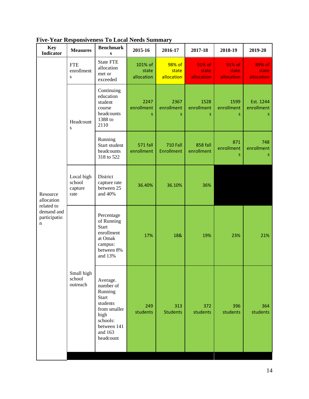| <b>Key</b><br><b>Indicator</b>                          | <b>Measures</b>                         | <b>Benchmark</b><br>S                                                                                                            | 2015-16                        | 2016-17                       | 2017-18                       | 2018-19                       | 2019-20                       |
|---------------------------------------------------------|-----------------------------------------|----------------------------------------------------------------------------------------------------------------------------------|--------------------------------|-------------------------------|-------------------------------|-------------------------------|-------------------------------|
|                                                         | <b>FTE</b><br>enrollment<br>S.          | <b>State FTE</b><br>allocation<br>met or<br>exceeded                                                                             | 101% of<br>state<br>allocation | 98% of<br>state<br>allocation | 91% of<br>state<br>allocation | 91% of<br>state<br>allocation | 89% of<br>state<br>allocation |
|                                                         | Headcount<br>${\bf S}$                  | Continuing<br>education<br>student<br>course<br>headcounts<br>1388 to<br>2110                                                    | 2247<br>enrollment<br>S        | 2367<br>enrollment<br>Š.      | 1528<br>enrollment<br>S       | 1599<br>enrollment<br>S       | Est. 1244<br>enrollment<br>S. |
|                                                         |                                         | Running<br>Start student<br>headcounts<br>318 to 522                                                                             | <b>571 fall</b><br>enrollment  | <b>710 Fall</b><br>Enrollment | 858 fall<br>enrollment        | 871<br>enrollment<br>S        | 748<br>enrollment<br>s        |
| Resource<br>allocation                                  | Local high<br>school<br>capture<br>rate | District<br>capture rate<br>between 25<br>and 40%                                                                                | 36.40%                         | 36.10%                        | 36%                           |                               |                               |
| related to<br>demand and<br>participatio<br>$\mathbf n$ |                                         | Percentage<br>of Running<br><b>Start</b><br>enrollment<br>at Omak<br>campus:<br>between 8%<br>and 13%                            | 17%                            | 18&                           | 19%                           | 23%                           | 21%                           |
|                                                         | Small high<br>school<br>outreach        | Average.<br>number of<br>Running<br>Start<br>students<br>from smaller<br>high<br>schools:<br>between 141<br>and 163<br>headcount | 249<br>students                | 313<br><b>Students</b>        | 372<br>students               | 396<br>students               | 364<br>students               |

**Five-Year Responsiveness To Local Needs Summary**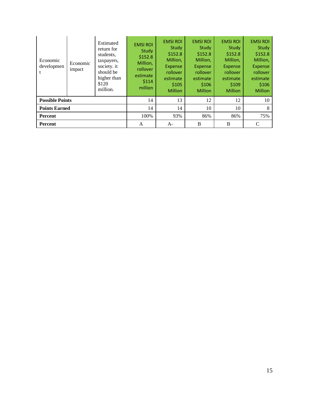| Economic<br>developmen | Economic<br>impact | Estimated<br>return for<br>students,<br>taxpayers,<br>society. it<br>should be<br>higher than<br>\$120<br>million. | <b>EMSI ROI</b><br>Study<br>\$152.8<br>Million,<br>rollover<br>estimate<br>\$114<br>million | <b>EMSI ROI</b><br>Study<br>\$152.8<br>Million,<br><b>Expense</b><br>rollover<br>estimate<br>\$105<br><b>Million</b> | <b>EMSI ROI</b><br>Study<br>\$152.8<br>Million,<br><b>Expense</b><br><b>rollover</b><br>estimate<br>\$106<br><b>Million</b> | <b>EMSI ROI</b><br>Study<br>\$152.8<br>Million,<br>Expense<br>rollover<br>estimate<br>\$109<br><b>Million</b> | <b>EMSI ROI</b><br>Study<br>\$152.8<br>Million,<br><b>Expense</b><br>rollover<br>estimate<br>\$106<br><b>Million</b> |
|------------------------|--------------------|--------------------------------------------------------------------------------------------------------------------|---------------------------------------------------------------------------------------------|----------------------------------------------------------------------------------------------------------------------|-----------------------------------------------------------------------------------------------------------------------------|---------------------------------------------------------------------------------------------------------------|----------------------------------------------------------------------------------------------------------------------|
| <b>Possible Points</b> |                    |                                                                                                                    | 14                                                                                          | 13                                                                                                                   | 12                                                                                                                          | 12                                                                                                            | 10                                                                                                                   |
| <b>Points Earned</b>   |                    | 14                                                                                                                 | 14                                                                                          | 10                                                                                                                   | 10                                                                                                                          | 8                                                                                                             |                                                                                                                      |
| <b>Percent</b>         |                    |                                                                                                                    | 100%                                                                                        | 93%                                                                                                                  | 86%                                                                                                                         | 86%                                                                                                           | 75%                                                                                                                  |
| Percent                |                    |                                                                                                                    | A                                                                                           | $A-$                                                                                                                 | B                                                                                                                           | B                                                                                                             | C                                                                                                                    |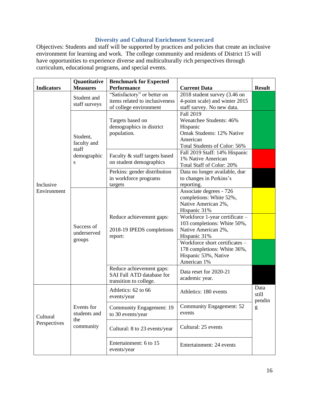# **Diversity and Cultural Enrichment Scorecard**

Objectives: Students and staff will be supported by practices and policies that create an inclusive environment for learning and work. The college community and residents of District 15 will have opportunities to experience diverse and multiculturally rich perspectives through curriculum, educational programs, and special events.

|                          | Quantitative    | <b>Benchmark for Expected</b>    |                                  |               |
|--------------------------|-----------------|----------------------------------|----------------------------------|---------------|
| <b>Indicators</b>        | <b>Measures</b> | <b>Performance</b>               | <b>Current Data</b>              | <b>Result</b> |
|                          | Student and     | "Satisfactory" or better on      | 2018 student survey (3.46 on     |               |
|                          | staff surveys   | items related to inclusiveness   | 4-point scale) and winter 2015   |               |
|                          |                 | of college environment           | staff survey. No new data.       |               |
|                          |                 |                                  | Fall 2019                        |               |
|                          |                 | Targets based on                 | Wenatchee Students: 46%          |               |
|                          |                 | demographics in district         | Hispanic                         |               |
|                          | Student,        | population.                      | <b>Omak Students: 12% Native</b> |               |
|                          | faculty and     |                                  | American                         |               |
|                          | staff           |                                  | Total Students of Color: 56%     |               |
|                          |                 |                                  | Fall 2019 Staff: 14% Hispanic    |               |
|                          | demographic     | Faculty & staff targets based    | 1% Native American               |               |
|                          | S               | on student demographics          | Total Staff of Color: 20%        |               |
|                          |                 | Perkins: gender distribution     | Data no longer available, due    |               |
| Inclusive                |                 | in workforce programs            | to changes in Perkins's          |               |
|                          |                 | targets                          | reporting.                       |               |
| Environment              |                 |                                  | Associate degrees - 726          |               |
|                          |                 |                                  | completions: White 52%,          |               |
|                          |                 |                                  | Native American 2%,              |               |
|                          |                 |                                  | Hispanic 31%                     |               |
|                          |                 | Reduce achievement gaps:         | Workforce 1-year certificate -   |               |
|                          |                 |                                  | 103 completions: White 50%,      |               |
|                          | Success of      | 2018-19 IPEDS completions        | Native American 2%,              |               |
|                          | underserved     | report:                          | Hispanic 31%                     |               |
|                          | groups          |                                  | Workforce short certificates -   |               |
|                          |                 |                                  | 178 completions: White 36%,      |               |
|                          |                 |                                  | Hispanic 53%, Native             |               |
|                          |                 |                                  | American 1%                      |               |
|                          |                 | Reduce achievement gaps:         |                                  |               |
|                          |                 | <b>SAI Fall ATD database for</b> | Data reset for 2020-21           |               |
|                          |                 | transition to college.           | academic year.                   |               |
|                          |                 | Athletics: 62 to 66              |                                  | Data          |
|                          |                 | events/year                      | Athletics: 180 events            | still         |
|                          |                 |                                  |                                  | pendin        |
| Cultural<br>Perspectives | Events for      | Community Engagement: 19         | <b>Community Engagement: 52</b>  | g             |
|                          | students and    | to 30 events/year                | events                           |               |
|                          | the             |                                  |                                  |               |
|                          | community       | Cultural: 8 to 23 events/year    | Cultural: 25 events              |               |
|                          |                 |                                  |                                  |               |
|                          |                 | Entertainment: 6 to 15           | Entertainment: 24 events         |               |
|                          |                 | events/year                      |                                  |               |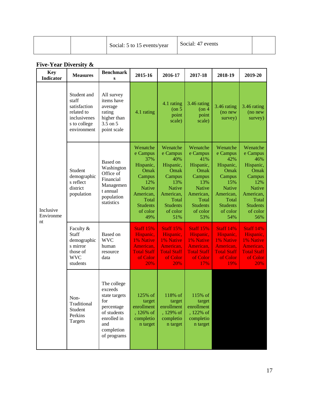| Social: 5 to 15 events/year | Social: 47 events |  |
|-----------------------------|-------------------|--|
|-----------------------------|-------------------|--|

# **Five-Year Diversity &**

| <b>Key</b><br><b>Indicator</b> | <b>Measures</b>                                                                                   | <b>Benchmark</b><br>S                                                                                                          | 2015-16                                                                                                                                        | 2016-17                                                                                                                                        | 2017-18                                                                                                                                        | 2018-19                                                                                                                                        | 2019-20                                                                                                                                        |
|--------------------------------|---------------------------------------------------------------------------------------------------|--------------------------------------------------------------------------------------------------------------------------------|------------------------------------------------------------------------------------------------------------------------------------------------|------------------------------------------------------------------------------------------------------------------------------------------------|------------------------------------------------------------------------------------------------------------------------------------------------|------------------------------------------------------------------------------------------------------------------------------------------------|------------------------------------------------------------------------------------------------------------------------------------------------|
| Inclusive<br>Environme<br>nt   | Student and<br>staff<br>satisfaction<br>related to<br>inclusivenes<br>s to college<br>environment | All survey<br>items have<br>average<br>rating<br>higher than<br>3.5 on 5<br>point scale                                        | 4.1 rating                                                                                                                                     | 4.1 rating<br>$($ on 5<br>point<br>scale)                                                                                                      | 3.46 rating<br>$($ on 4<br>point<br>scale)                                                                                                     | 3.46 rating<br>(no new<br>survey)                                                                                                              | 3.46 rating<br>(no new<br>survey)                                                                                                              |
|                                | Student<br>demographic<br>s reflect<br>district<br>population                                     | Based on<br>Washington<br>Office of<br>Financial<br>Managemen<br>t annual<br>population<br>statistics                          | Wenatche<br>e Campus<br>37%<br>Hispanic,<br>Omak<br>Campus<br>12%<br><b>Native</b><br>American,<br>Total<br><b>Students</b><br>of color<br>49% | Wenatche<br>e Campus<br>40%<br>Hispanic,<br>Omak<br>Campus<br>13%<br><b>Native</b><br>American,<br>Total<br><b>Students</b><br>of color<br>51% | Wenatche<br>e Campus<br>41%<br>Hispanic,<br>Omak<br>Campus<br>13%<br><b>Native</b><br>American,<br>Total<br><b>Students</b><br>of color<br>53% | Wenatche<br>e Campus<br>42%<br>Hispanic,<br>Omak<br>Campus<br>15%<br><b>Native</b><br>American,<br>Total<br><b>Students</b><br>of color<br>54% | Wenatche<br>e Campus<br>46%<br>Hispanic,<br>Omak<br>Campus<br>12%<br><b>Native</b><br>American,<br>Total<br><b>Students</b><br>of color<br>56% |
|                                | Faculty &<br>Staff<br>demographic<br>s mirror<br>those of<br><b>WVC</b><br>students               | Based on<br><b>WVC</b><br>human<br>resource<br>data                                                                            | <b>Staff 15%</b><br>Hispanic,<br>1% Native<br>American,<br><b>Total Staff</b><br>of Color<br>20%                                               | <b>Staff 15%</b><br>Hispanic,<br>1% Native<br>American,<br><b>Total Staff</b><br>of Color<br>20%                                               | <b>Staff 15%</b><br>Hispanic,<br>1% Native<br>American,<br><b>Total Staff</b><br>of Color<br>17%                                               | <b>Staff 14%</b><br>Hispanic,<br>1% Native<br>American,<br><b>Total Staff</b><br>of Color<br>19%                                               | <b>Staff 14%</b><br>Hispanic,<br>1% Native<br>American,<br><b>Total Staff</b><br>of Color<br>20%                                               |
|                                | Non-<br>Traditional<br>Student<br>Perkins<br>Targets                                              | The college<br>exceeds<br>state targets<br>for<br>percentage<br>of students<br>enrolled in<br>and<br>completion<br>of programs | 125% of<br>target<br>enrollment<br>, 126% of<br>completio<br>n target                                                                          | 118% of<br>target<br>enrollment<br>, 129% of<br>completio<br>n target                                                                          | 115% of<br>target<br>enrollment<br>, 122% of<br>completio<br>n target                                                                          |                                                                                                                                                |                                                                                                                                                |